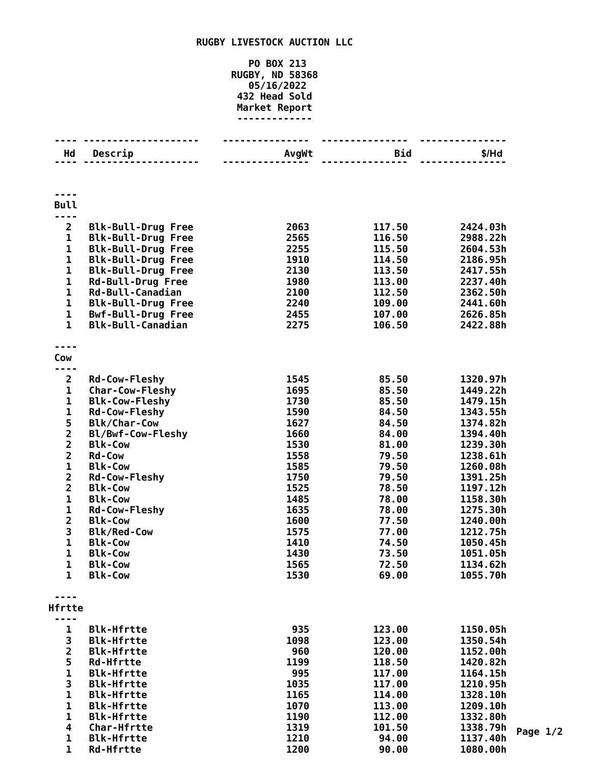## **RUGBY LIVESTOCK AUCTION LLC**

## **PO BOX 213 RUGBY, ND 58368 05/16/2022 Head Sold Market Report -------------**

| Hd                      | Descrip                   | AvgWt | <b>Bid</b> | \$/Hd    |
|-------------------------|---------------------------|-------|------------|----------|
|                         |                           |       |            |          |
|                         |                           |       |            |          |
|                         |                           |       |            |          |
| <b>Bull</b>             |                           |       |            |          |
| - - -                   |                           |       |            |          |
| 2                       | <b>Blk-Bull-Drug Free</b> | 2063  | 117.50     | 2424.03h |
| 1                       | <b>Blk-Bull-Drug Free</b> | 2565  | 116.50     | 2988.22h |
| 1                       | <b>Blk-Bull-Drug Free</b> | 2255  | 115.50     | 2604.53h |
| $\mathbf{1}$            | <b>Blk-Bull-Drug Free</b> | 1910  | 114.50     | 2186.95h |
| $\mathbf 1$             | <b>Blk-Bull-Drug Free</b> | 2130  | 113.50     | 2417.55h |
| $\mathbf{1}$            | <b>Rd-Bull-Drug Free</b>  | 1980  | 113.00     | 2237.40h |
| $\mathbf 1$             | Rd-Bull-Canadian          | 2100  | 112.50     | 2362.50h |
| $\mathbf 1$             | <b>Blk-Bull-Drug Free</b> | 2240  | 109.00     | 2441.60h |
| $\mathbf{1}$            | <b>Bwf-Bull-Drug Free</b> | 2455  | 107.00     | 2626.85h |
| $\mathbf{1}$            | <b>Blk-Bull-Canadian</b>  | 2275  | 106.50     | 2422.88h |
|                         |                           |       |            |          |
| Cow                     |                           |       |            |          |
|                         |                           |       |            |          |
| $\overline{\mathbf{2}}$ | <b>Rd-Cow-Fleshy</b>      | 1545  | 85.50      | 1320.97h |
| $\mathbf 1$             | <b>Char-Cow-Fleshy</b>    | 1695  | 85.50      | 1449.22h |
| 1                       | <b>Blk-Cow-Fleshy</b>     | 1730  | 85.50      | 1479.15h |
| $\mathbf 1$             | <b>Rd-Cow-Fleshy</b>      | 1590  | 84.50      | 1343.55h |
|                         | <b>Blk/Char-Cow</b>       | 1627  | 84.50      | 1374.82h |
| $\frac{5}{2}$           | Bl/Bwf-Cow-Fleshy         | 1660  | 84.00      | 1394.40h |
|                         | <b>Blk-Cow</b>            | 1530  | 81.00      | 1239.30h |
| $\overline{\mathbf{c}}$ | <b>Rd-Cow</b>             | 1558  | 79.50      | 1238.61h |
| $\mathbf 1$             | <b>Blk-Cow</b>            | 1585  | 79.50      | 1260.08h |
| $\overline{\mathbf{c}}$ | <b>Rd-Cow-Fleshy</b>      | 1750  | 79.50      | 1391.25h |
| $\overline{2}$          | <b>Blk-Cow</b>            | 1525  | 78.50      | 1197.12h |
| $\mathbf 1$             | <b>Blk-Cow</b>            | 1485  | 78.00      | 1158.30h |
| $\mathbf 1$             | <b>Rd-Cow-Fleshy</b>      | 1635  | 78.00      | 1275.30h |
| $\overline{\mathbf{2}}$ | <b>Blk-Cow</b>            | 1600  | 77.50      | 1240.00h |
| 3                       | <b>Blk/Red-Cow</b>        | 1575  | 77.00      | 1212.75h |
| $\mathbf 1$             | <b>Blk-Cow</b>            | 1410  | 74.50      | 1050.45h |
| 1                       | <b>Blk-Cow</b>            | 1430  | 73.50      | 1051.05h |
| 1                       | <b>Blk-Cow</b>            | 1565  | 72.50      | 1134.62h |
| 1                       | <b>Blk-Cow</b>            | 1530  | 69.00      | 1055.70h |
|                         |                           |       |            |          |
| Hfrtte                  |                           |       |            |          |
| - -                     |                           |       |            |          |
| 1                       | <b>Blk-Hfrtte</b>         | 935   | 123.00     | 1150.05h |
| 3                       | <b>Blk-Hfrtte</b>         | 1098  | 123.00     | 1350.54h |
| $\overline{\mathbf{2}}$ | <b>Blk-Hfrtte</b>         | 960   | 120.00     | 1152.00h |
| 5                       | <b>Rd-Hfrtte</b>          | 1199  | 118.50     | 1420.82h |
| $\mathbf{1}$            | <b>Blk-Hfrtte</b>         | 995   | 117.00     | 1164.15h |
| 3                       | <b>Blk-Hfrtte</b>         | 1035  | 117.00     | 1210.95h |
| $\mathbf 1$             | <b>Blk-Hfrtte</b>         | 1165  | 114.00     | 1328.10h |
| $\mathbf{1}$            | <b>Blk-Hfrtte</b>         | 1070  | 113.00     | 1209.10h |
| $\mathbf 1$             | <b>Blk-Hfrtte</b>         | 1190  | 112.00     | 1332.80h |
| 4                       | <b>Char-Hfrtte</b>        | 1319  | 101.50     | 1338.79h |
| 1                       | <b>Blk-Hfrtte</b>         | 1210  | 94.00      | 1137.40h |
| $\mathbf{1}$            | <b>Rd-Hfrtte</b>          | 1200  | 90.00      | 1080.00h |

**Page 1/2**